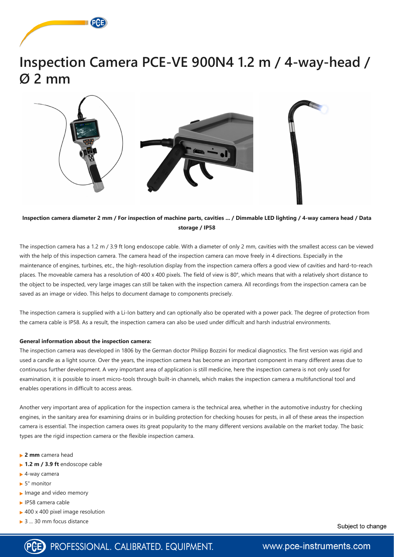



### **Inspection camera diameter 2 mm / For inspection of machine parts, cavities ... / Dimmable LED lighting / 4-way camera head / Data storage / IP58**

The inspection camera has a 1.2 m / 3.9 ft long endoscope cable. With a diameter of only 2 mm, cavities with the smallest access can be viewed with the help of this inspection camera. The camera head of the inspection camera can move freely in 4 directions. Especially in the maintenance of engines, turbines, etc., the high-resolution display from the inspection camera offers a good view of cavities and hard-to-reach places. The moveable camera has a resolution of 400 x 400 pixels. The field of view is 80°, which means that with a relatively short distance to the object to be inspected, very large images can still be taken with the inspection camera. All recordings from the inspection camera can be saved as an image or video. This helps to document damage to components precisely.

The inspection camera is supplied with a Li-Ion battery and can optionally also be operated with a power pack. The degree of protection from the camera cable is IP58. As a result, the inspection camera can also be used under difficult and harsh industrial environments.

- **2 mm** camera head
- **1.2 m / 3.9 ft** endoscope cable
- ► 4-way camera
- ► 5" monitor
- $\blacktriangleright$  Image and video memory
- ► IP58 camera cable
- ▶ 400 x 400 pixel image resolution
- **► 3 ... 30 mm focus distance**

Subject to change



## www.pce-instruments.com

#### **General information about the inspection camera:**

The inspection camera was developed in 1806 by the German doctor Philipp Bozzini for medical diagnostics. The first version was rigid and used a candle as a light source. Over the years, the inspection camera has become an important component in many different areas due to continuous further development. A very important area of application is still medicine, here the inspection camera is not only used for examination, it is possible to insert micro-tools through built-in channels, which makes the inspection camera a multifunctional tool and enables operations in difficult to access areas.

Another very important area of application for the inspection camera is the technical area, whether in the automotive industry for checking engines, in the sanitary area for examining drains or in building protection for checking houses for pests, in all of these areas the inspection

camera is essential. The inspection camera owes its great popularity to the many different versions available on the market today. The basic types are the rigid inspection camera or the flexible inspection camera.